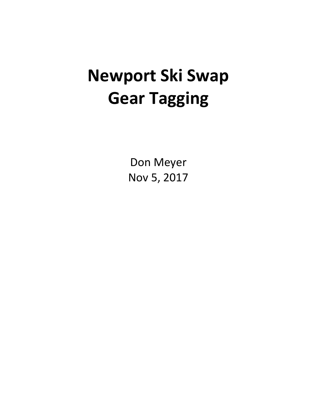# **Newport Ski Swap Gear Tagging**

Don Meyer Nov 5, 2017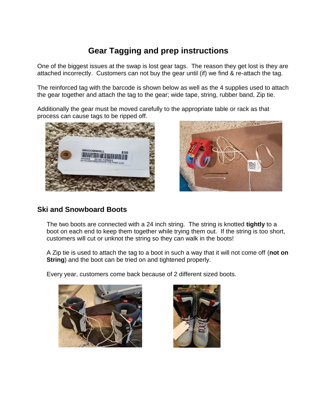## **Gear Tagging and prep instructions**

One of the biggest issues at the swap is lost gear tags. The reason they get lost is they are attached incorrectly. Customers can not buy the gear until (if) we find & re-attach the tag.

The reinforced tag with the barcode is shown below as well as the 4 supplies used to attach the gear together and attach the tag to the gear; wide tape, string, rubber band, Zip tie.

Additionally the gear must be moved carefully to the appropriate table or rack as that process can cause tags to be ripped off.





#### **Ski and Snowboard Boots**

The two boots are connected with a 24 inch string. The string is knotted **tightly** to a boot on each end to keep them together while trying them out. If the string is too short, customers will cut or unknot the string so they can walk in the boots!

A Zip tie is used to attach the tag to a boot in such a way that it will not come off (**not on String**) and the boot can be tried on and tightened properly.

Every year, customers come back because of 2 different sized boots.



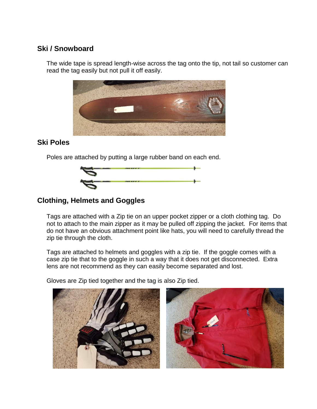#### **Ski / Snowboard**

The wide tape is spread length-wise across the tag onto the tip, not tail so customer can read the tag easily but not pull it off easily.



#### **Ski Poles**

Poles are attached by putting a large rubber band on each end.



### **Clothing, Helmets and Goggles**

Tags are attached with a Zip tie on an upper pocket zipper or a cloth clothing tag. Do not to attach to the main zipper as it may be pulled off zipping the jacket. For items that do not have an obvious attachment point like hats, you will need to carefully thread the zip tie through the cloth.

Tags are attached to helmets and goggles with a zip tie. If the goggle comes with a case zip tie that to the goggle in such a way that it does not get disconnected. Extra lens are not recommend as they can easily become separated and lost.

Gloves are Zip tied together and the tag is also Zip tied.